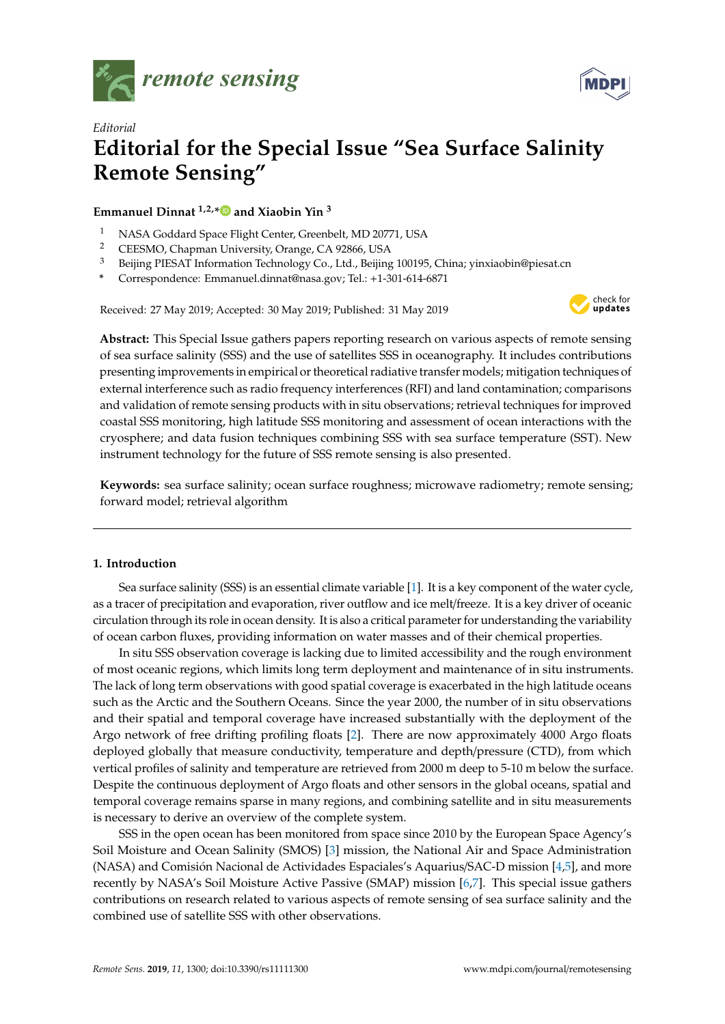



# *Editorial* **Editorial for the Special Issue "Sea Surface Salinity Remote Sensing"**

**Emmanuel Dinnat 1,2,[\\*](https://orcid.org/0000-0001-9003-1182) and Xiaobin Yin <sup>3</sup>**

- <sup>1</sup> NASA Goddard Space Flight Center, Greenbelt, MD 20771, USA<br><sup>2</sup> CEESMO Chapman University Orange CA 92866, USA
- <sup>2</sup> CEESMO, Chapman University, Orange, CA 92866, USA
- <sup>3</sup> Beijing PIESAT Information Technology Co., Ltd., Beijing 100195, China; yinxiaobin@piesat.cn
- **\*** Correspondence: Emmanuel.dinnat@nasa.gov; Tel.: +1-301-614-6871

Received: 27 May 2019; Accepted: 30 May 2019; Published: 31 May 2019



**Abstract:** This Special Issue gathers papers reporting research on various aspects of remote sensing of sea surface salinity (SSS) and the use of satellites SSS in oceanography. It includes contributions presenting improvements in empirical or theoretical radiative transfer models; mitigation techniques of external interference such as radio frequency interferences (RFI) and land contamination; comparisons and validation of remote sensing products with in situ observations; retrieval techniques for improved coastal SSS monitoring, high latitude SSS monitoring and assessment of ocean interactions with the cryosphere; and data fusion techniques combining SSS with sea surface temperature (SST). New instrument technology for the future of SSS remote sensing is also presented.

**Keywords:** sea surface salinity; ocean surface roughness; microwave radiometry; remote sensing; forward model; retrieval algorithm

## **1. Introduction**

Sea surface salinity (SSS) is an essential climate variable [\[1\]](#page-4-0). It is a key component of the water cycle, as a tracer of precipitation and evaporation, river outflow and ice melt/freeze. It is a key driver of oceanic circulation through its role in ocean density. It is also a critical parameter for understanding the variability of ocean carbon fluxes, providing information on water masses and of their chemical properties.

In situ SSS observation coverage is lacking due to limited accessibility and the rough environment of most oceanic regions, which limits long term deployment and maintenance of in situ instruments. The lack of long term observations with good spatial coverage is exacerbated in the high latitude oceans such as the Arctic and the Southern Oceans. Since the year 2000, the number of in situ observations and their spatial and temporal coverage have increased substantially with the deployment of the Argo network of free drifting profiling floats [\[2\]](#page-4-1). There are now approximately 4000 Argo floats deployed globally that measure conductivity, temperature and depth/pressure (CTD), from which vertical profiles of salinity and temperature are retrieved from 2000 m deep to 5-10 m below the surface. Despite the continuous deployment of Argo floats and other sensors in the global oceans, spatial and temporal coverage remains sparse in many regions, and combining satellite and in situ measurements is necessary to derive an overview of the complete system.

SSS in the open ocean has been monitored from space since 2010 by the European Space Agency's Soil Moisture and Ocean Salinity (SMOS) [\[3\]](#page-4-2) mission, the National Air and Space Administration (NASA) and Comisión Nacional de Actividades Espaciales's Aquarius/SAC-D mission [\[4,](#page-4-3)[5\]](#page-4-4), and more recently by NASA's Soil Moisture Active Passive (SMAP) mission [\[6,](#page-4-5)[7\]](#page-4-6). This special issue gathers contributions on research related to various aspects of remote sensing of sea surface salinity and the combined use of satellite SSS with other observations.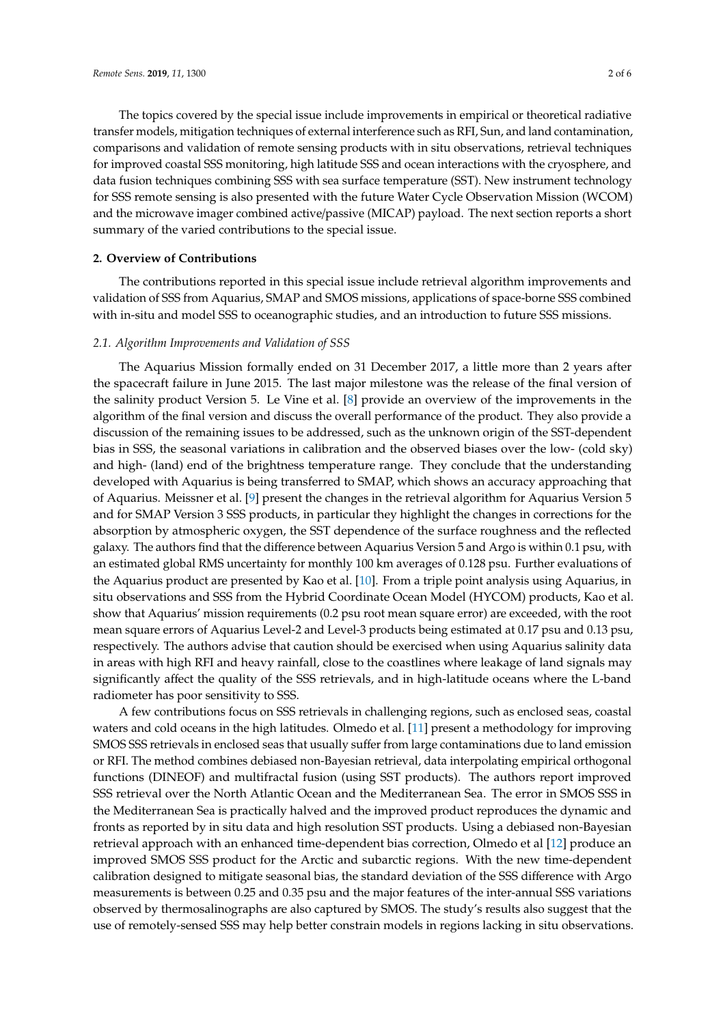The topics covered by the special issue include improvements in empirical or theoretical radiative transfer models, mitigation techniques of external interference such as RFI, Sun, and land contamination, comparisons and validation of remote sensing products with in situ observations, retrieval techniques for improved coastal SSS monitoring, high latitude SSS and ocean interactions with the cryosphere, and data fusion techniques combining SSS with sea surface temperature (SST). New instrument technology for SSS remote sensing is also presented with the future Water Cycle Observation Mission (WCOM) and the microwave imager combined active/passive (MICAP) payload. The next section reports a short summary of the varied contributions to the special issue.

## **2. Overview of Contributions**

The contributions reported in this special issue include retrieval algorithm improvements and validation of SSS from Aquarius, SMAP and SMOS missions, applications of space-borne SSS combined with in-situ and model SSS to oceanographic studies, and an introduction to future SSS missions.

## *2.1. Algorithm Improvements and Validation of SSS*

The Aquarius Mission formally ended on 31 December 2017, a little more than 2 years after the spacecraft failure in June 2015. The last major milestone was the release of the final version of the salinity product Version 5. Le Vine et al. [\[8\]](#page-4-7) provide an overview of the improvements in the algorithm of the final version and discuss the overall performance of the product. They also provide a discussion of the remaining issues to be addressed, such as the unknown origin of the SST-dependent bias in SSS, the seasonal variations in calibration and the observed biases over the low- (cold sky) and high- (land) end of the brightness temperature range. They conclude that the understanding developed with Aquarius is being transferred to SMAP, which shows an accuracy approaching that of Aquarius. Meissner et al. [\[9\]](#page-4-8) present the changes in the retrieval algorithm for Aquarius Version 5 and for SMAP Version 3 SSS products, in particular they highlight the changes in corrections for the absorption by atmospheric oxygen, the SST dependence of the surface roughness and the reflected galaxy. The authors find that the difference between Aquarius Version 5 and Argo is within 0.1 psu, with an estimated global RMS uncertainty for monthly 100 km averages of 0.128 psu. Further evaluations of the Aquarius product are presented by Kao et al. [\[10\]](#page-4-9). From a triple point analysis using Aquarius, in situ observations and SSS from the Hybrid Coordinate Ocean Model (HYCOM) products, Kao et al. show that Aquarius' mission requirements (0.2 psu root mean square error) are exceeded, with the root mean square errors of Aquarius Level-2 and Level-3 products being estimated at 0.17 psu and 0.13 psu, respectively. The authors advise that caution should be exercised when using Aquarius salinity data in areas with high RFI and heavy rainfall, close to the coastlines where leakage of land signals may significantly affect the quality of the SSS retrievals, and in high-latitude oceans where the L-band radiometer has poor sensitivity to SSS.

A few contributions focus on SSS retrievals in challenging regions, such as enclosed seas, coastal waters and cold oceans in the high latitudes. Olmedo et al. [\[11\]](#page-4-10) present a methodology for improving SMOS SSS retrievals in enclosed seas that usually suffer from large contaminations due to land emission or RFI. The method combines debiased non-Bayesian retrieval, data interpolating empirical orthogonal functions (DINEOF) and multifractal fusion (using SST products). The authors report improved SSS retrieval over the North Atlantic Ocean and the Mediterranean Sea. The error in SMOS SSS in the Mediterranean Sea is practically halved and the improved product reproduces the dynamic and fronts as reported by in situ data and high resolution SST products. Using a debiased non-Bayesian retrieval approach with an enhanced time-dependent bias correction, Olmedo et al [\[12\]](#page-4-11) produce an improved SMOS SSS product for the Arctic and subarctic regions. With the new time-dependent calibration designed to mitigate seasonal bias, the standard deviation of the SSS difference with Argo measurements is between 0.25 and 0.35 psu and the major features of the inter-annual SSS variations observed by thermosalinographs are also captured by SMOS. The study's results also suggest that the use of remotely-sensed SSS may help better constrain models in regions lacking in situ observations.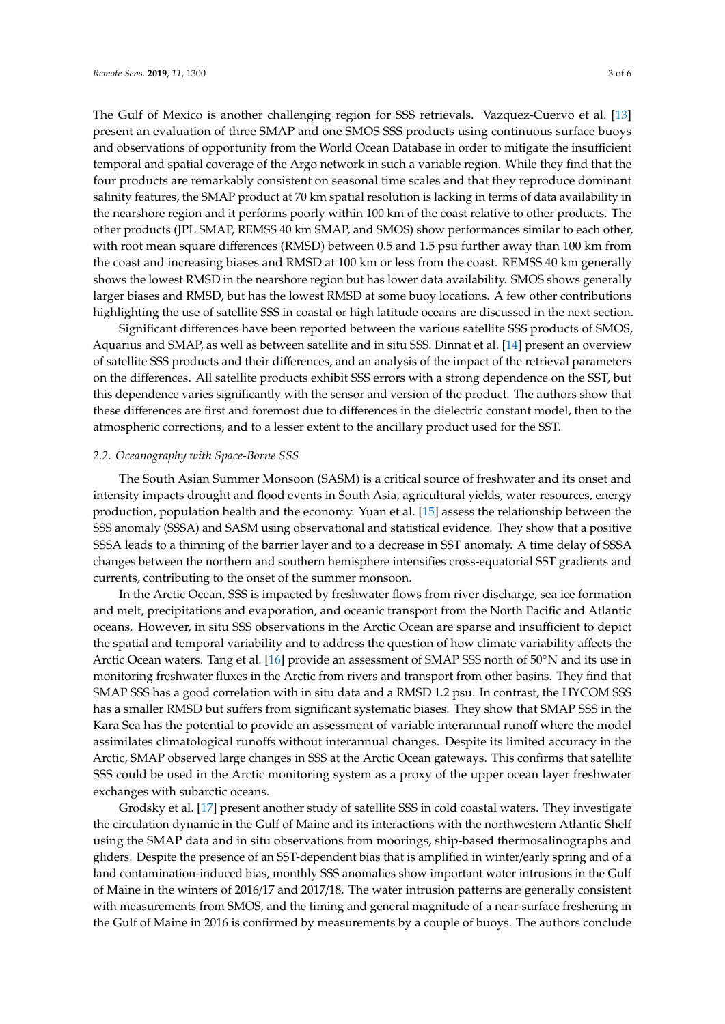The Gulf of Mexico is another challenging region for SSS retrievals. Vazquez-Cuervo et al. [\[13\]](#page-4-12) present an evaluation of three SMAP and one SMOS SSS products using continuous surface buoys and observations of opportunity from the World Ocean Database in order to mitigate the insufficient temporal and spatial coverage of the Argo network in such a variable region. While they find that the four products are remarkably consistent on seasonal time scales and that they reproduce dominant salinity features, the SMAP product at 70 km spatial resolution is lacking in terms of data availability in the nearshore region and it performs poorly within 100 km of the coast relative to other products. The other products (JPL SMAP, REMSS 40 km SMAP, and SMOS) show performances similar to each other, with root mean square differences (RMSD) between 0.5 and 1.5 psu further away than 100 km from the coast and increasing biases and RMSD at 100 km or less from the coast. REMSS 40 km generally shows the lowest RMSD in the nearshore region but has lower data availability. SMOS shows generally larger biases and RMSD, but has the lowest RMSD at some buoy locations. A few other contributions highlighting the use of satellite SSS in coastal or high latitude oceans are discussed in the next section.

Significant differences have been reported between the various satellite SSS products of SMOS, Aquarius and SMAP, as well as between satellite and in situ SSS. Dinnat et al. [\[14\]](#page-4-13) present an overview of satellite SSS products and their differences, and an analysis of the impact of the retrieval parameters on the differences. All satellite products exhibit SSS errors with a strong dependence on the SST, but this dependence varies significantly with the sensor and version of the product. The authors show that these differences are first and foremost due to differences in the dielectric constant model, then to the atmospheric corrections, and to a lesser extent to the ancillary product used for the SST.

#### *2.2. Oceanography with Space-Borne SSS*

The South Asian Summer Monsoon (SASM) is a critical source of freshwater and its onset and intensity impacts drought and flood events in South Asia, agricultural yields, water resources, energy production, population health and the economy. Yuan et al. [\[15\]](#page-4-14) assess the relationship between the SSS anomaly (SSSA) and SASM using observational and statistical evidence. They show that a positive SSSA leads to a thinning of the barrier layer and to a decrease in SST anomaly. A time delay of SSSA changes between the northern and southern hemisphere intensifies cross-equatorial SST gradients and currents, contributing to the onset of the summer monsoon.

In the Arctic Ocean, SSS is impacted by freshwater flows from river discharge, sea ice formation and melt, precipitations and evaporation, and oceanic transport from the North Pacific and Atlantic oceans. However, in situ SSS observations in the Arctic Ocean are sparse and insufficient to depict the spatial and temporal variability and to address the question of how climate variability affects the Arctic Ocean waters. Tang et al. [\[16\]](#page-4-15) provide an assessment of SMAP SSS north of 50◦N and its use in monitoring freshwater fluxes in the Arctic from rivers and transport from other basins. They find that SMAP SSS has a good correlation with in situ data and a RMSD 1.2 psu. In contrast, the HYCOM SSS has a smaller RMSD but suffers from significant systematic biases. They show that SMAP SSS in the Kara Sea has the potential to provide an assessment of variable interannual runoff where the model assimilates climatological runoffs without interannual changes. Despite its limited accuracy in the Arctic, SMAP observed large changes in SSS at the Arctic Ocean gateways. This confirms that satellite SSS could be used in the Arctic monitoring system as a proxy of the upper ocean layer freshwater exchanges with subarctic oceans.

Grodsky et al. [\[17\]](#page-4-16) present another study of satellite SSS in cold coastal waters. They investigate the circulation dynamic in the Gulf of Maine and its interactions with the northwestern Atlantic Shelf using the SMAP data and in situ observations from moorings, ship-based thermosalinographs and gliders. Despite the presence of an SST-dependent bias that is amplified in winter/early spring and of a land contamination-induced bias, monthly SSS anomalies show important water intrusions in the Gulf of Maine in the winters of 2016/17 and 2017/18. The water intrusion patterns are generally consistent with measurements from SMOS, and the timing and general magnitude of a near-surface freshening in the Gulf of Maine in 2016 is confirmed by measurements by a couple of buoys. The authors conclude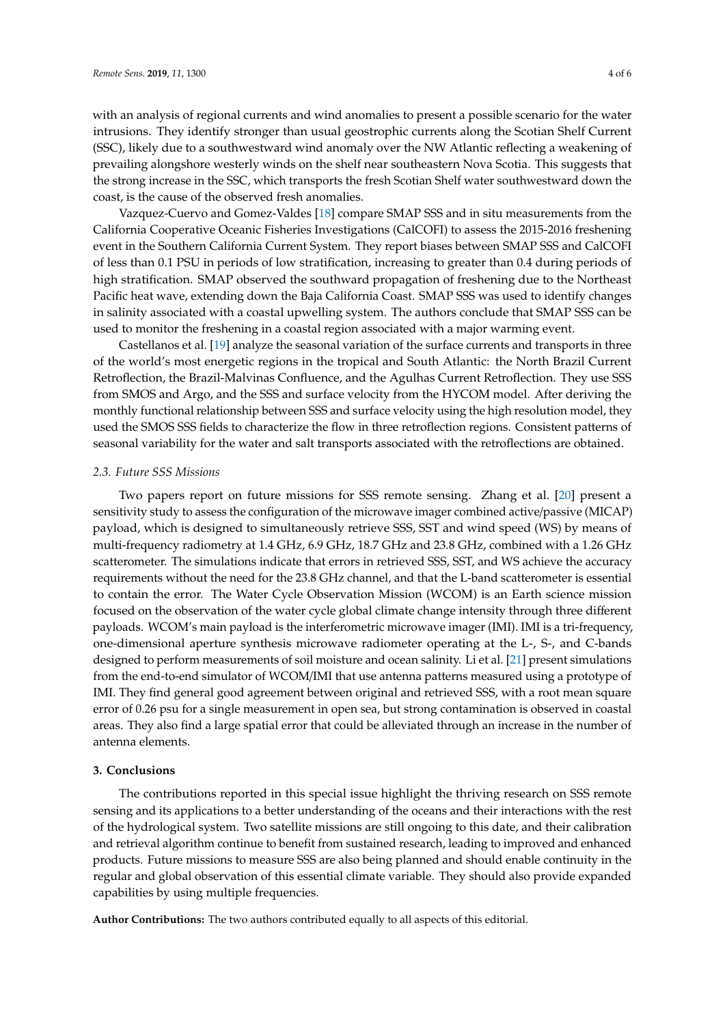with an analysis of regional currents and wind anomalies to present a possible scenario for the water intrusions. They identify stronger than usual geostrophic currents along the Scotian Shelf Current (SSC), likely due to a southwestward wind anomaly over the NW Atlantic reflecting a weakening of prevailing alongshore westerly winds on the shelf near southeastern Nova Scotia. This suggests that the strong increase in the SSC, which transports the fresh Scotian Shelf water southwestward down the coast, is the cause of the observed fresh anomalies.

Vazquez-Cuervo and Gomez-Valdes [\[18\]](#page-4-17) compare SMAP SSS and in situ measurements from the California Cooperative Oceanic Fisheries Investigations (CalCOFI) to assess the 2015-2016 freshening event in the Southern California Current System. They report biases between SMAP SSS and CalCOFI of less than 0.1 PSU in periods of low stratification, increasing to greater than 0.4 during periods of high stratification. SMAP observed the southward propagation of freshening due to the Northeast Pacific heat wave, extending down the Baja California Coast. SMAP SSS was used to identify changes in salinity associated with a coastal upwelling system. The authors conclude that SMAP SSS can be used to monitor the freshening in a coastal region associated with a major warming event.

Castellanos et al. [\[19\]](#page-5-0) analyze the seasonal variation of the surface currents and transports in three of the world's most energetic regions in the tropical and South Atlantic: the North Brazil Current Retroflection, the Brazil-Malvinas Confluence, and the Agulhas Current Retroflection. They use SSS from SMOS and Argo, and the SSS and surface velocity from the HYCOM model. After deriving the monthly functional relationship between SSS and surface velocity using the high resolution model, they used the SMOS SSS fields to characterize the flow in three retroflection regions. Consistent patterns of seasonal variability for the water and salt transports associated with the retroflections are obtained.

## *2.3. Future SSS Missions*

Two papers report on future missions for SSS remote sensing. Zhang et al. [\[20\]](#page-5-1) present a sensitivity study to assess the configuration of the microwave imager combined active/passive (MICAP) payload, which is designed to simultaneously retrieve SSS, SST and wind speed (WS) by means of multi-frequency radiometry at 1.4 GHz, 6.9 GHz, 18.7 GHz and 23.8 GHz, combined with a 1.26 GHz scatterometer. The simulations indicate that errors in retrieved SSS, SST, and WS achieve the accuracy requirements without the need for the 23.8 GHz channel, and that the L-band scatterometer is essential to contain the error. The Water Cycle Observation Mission (WCOM) is an Earth science mission focused on the observation of the water cycle global climate change intensity through three different payloads. WCOM's main payload is the interferometric microwave imager (IMI). IMI is a tri-frequency, one-dimensional aperture synthesis microwave radiometer operating at the L-, S-, and C-bands designed to perform measurements of soil moisture and ocean salinity. Li et al. [\[21\]](#page-5-2) present simulations from the end-to-end simulator of WCOM/IMI that use antenna patterns measured using a prototype of IMI. They find general good agreement between original and retrieved SSS, with a root mean square error of 0.26 psu for a single measurement in open sea, but strong contamination is observed in coastal areas. They also find a large spatial error that could be alleviated through an increase in the number of antenna elements.

## **3. Conclusions**

The contributions reported in this special issue highlight the thriving research on SSS remote sensing and its applications to a better understanding of the oceans and their interactions with the rest of the hydrological system. Two satellite missions are still ongoing to this date, and their calibration and retrieval algorithm continue to benefit from sustained research, leading to improved and enhanced products. Future missions to measure SSS are also being planned and should enable continuity in the regular and global observation of this essential climate variable. They should also provide expanded capabilities by using multiple frequencies.

**Author Contributions:** The two authors contributed equally to all aspects of this editorial.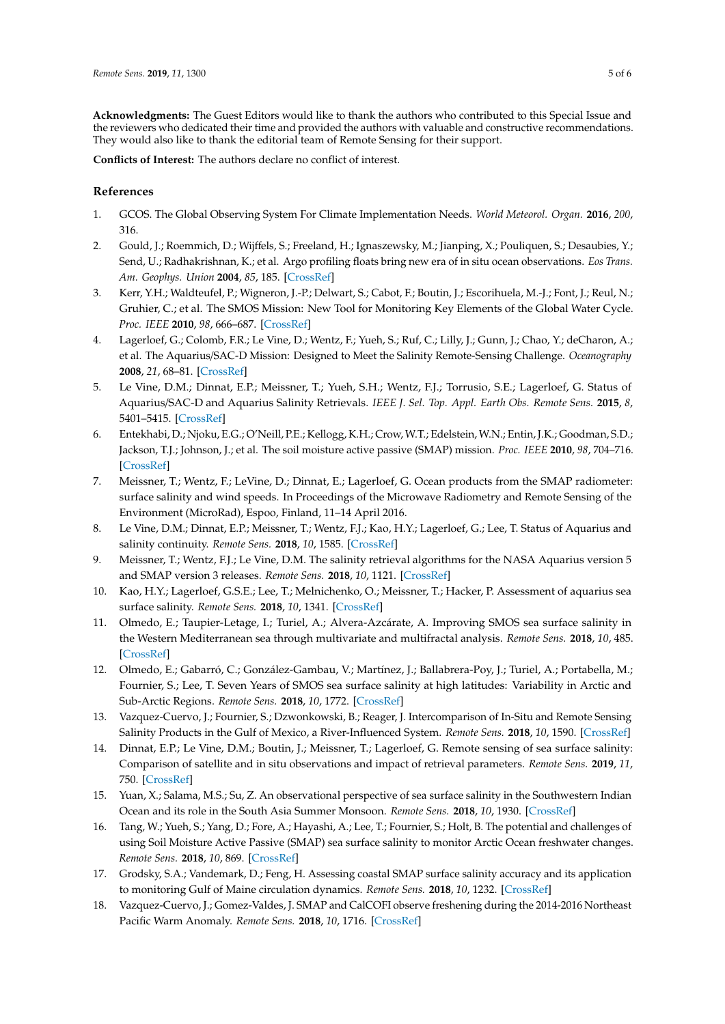**Acknowledgments:** The Guest Editors would like to thank the authors who contributed to this Special Issue and the reviewers who dedicated their time and provided the authors with valuable and constructive recommendations. They would also like to thank the editorial team of Remote Sensing for their support.

**Conflicts of Interest:** The authors declare no conflict of interest.

# **References**

- <span id="page-4-0"></span>1. GCOS. The Global Observing System For Climate Implementation Needs. *World Meteorol. Organ.* **2016**, *200*, 316.
- <span id="page-4-1"></span>2. Gould, J.; Roemmich, D.; Wijffels, S.; Freeland, H.; Ignaszewsky, M.; Jianping, X.; Pouliquen, S.; Desaubies, Y.; Send, U.; Radhakrishnan, K.; et al. Argo profiling floats bring new era of in situ ocean observations. *Eos Trans. Am. Geophys. Union* **2004**, *85*, 185. [\[CrossRef\]](http://dx.doi.org/10.1029/2004EO190002)
- <span id="page-4-2"></span>3. Kerr, Y.H.; Waldteufel, P.; Wigneron, J.-P.; Delwart, S.; Cabot, F.; Boutin, J.; Escorihuela, M.-J.; Font, J.; Reul, N.; Gruhier, C.; et al. The SMOS Mission: New Tool for Monitoring Key Elements of the Global Water Cycle. *Proc. IEEE* **2010**, *98*, 666–687. [\[CrossRef\]](http://dx.doi.org/10.1109/JPROC.2010.2043032)
- <span id="page-4-3"></span>4. Lagerloef, G.; Colomb, F.R.; Le Vine, D.; Wentz, F.; Yueh, S.; Ruf, C.; Lilly, J.; Gunn, J.; Chao, Y.; deCharon, A.; et al. The Aquarius/SAC-D Mission: Designed to Meet the Salinity Remote-Sensing Challenge. *Oceanography* **2008**, *21*, 68–81. [\[CrossRef\]](http://dx.doi.org/10.5670/oceanog.2008.68)
- <span id="page-4-4"></span>5. Le Vine, D.M.; Dinnat, E.P.; Meissner, T.; Yueh, S.H.; Wentz, F.J.; Torrusio, S.E.; Lagerloef, G. Status of Aquarius/SAC-D and Aquarius Salinity Retrievals. *IEEE J. Sel. Top. Appl. Earth Obs. Remote Sens.* **2015**, *8*, 5401–5415. [\[CrossRef\]](http://dx.doi.org/10.1109/JSTARS.2015.2427159)
- <span id="page-4-5"></span>6. Entekhabi, D.; Njoku, E.G.; O'Neill, P.E.; Kellogg, K.H.; Crow,W.T.; Edelstein,W.N.; Entin, J.K.; Goodman, S.D.; Jackson, T.J.; Johnson, J.; et al. The soil moisture active passive (SMAP) mission. *Proc. IEEE* **2010**, *98*, 704–716. [\[CrossRef\]](http://dx.doi.org/10.1109/JPROC.2010.2043918)
- <span id="page-4-6"></span>7. Meissner, T.; Wentz, F.; LeVine, D.; Dinnat, E.; Lagerloef, G. Ocean products from the SMAP radiometer: surface salinity and wind speeds. In Proceedings of the Microwave Radiometry and Remote Sensing of the Environment (MicroRad), Espoo, Finland, 11–14 April 2016.
- <span id="page-4-7"></span>8. Le Vine, D.M.; Dinnat, E.P.; Meissner, T.; Wentz, F.J.; Kao, H.Y.; Lagerloef, G.; Lee, T. Status of Aquarius and salinity continuity. *Remote Sens.* **2018**, *10*, 1585. [\[CrossRef\]](http://dx.doi.org/10.3390/rs10101585)
- <span id="page-4-8"></span>9. Meissner, T.; Wentz, F.J.; Le Vine, D.M. The salinity retrieval algorithms for the NASA Aquarius version 5 and SMAP version 3 releases. *Remote Sens.* **2018**, *10*, 1121. [\[CrossRef\]](http://dx.doi.org/10.3390/rs10071121)
- <span id="page-4-9"></span>10. Kao, H.Y.; Lagerloef, G.S.E.; Lee, T.; Melnichenko, O.; Meissner, T.; Hacker, P. Assessment of aquarius sea surface salinity. *Remote Sens.* **2018**, *10*, 1341. [\[CrossRef\]](http://dx.doi.org/10.3390/rs10091341)
- <span id="page-4-10"></span>11. Olmedo, E.; Taupier-Letage, I.; Turiel, A.; Alvera-Azcárate, A. Improving SMOS sea surface salinity in the Western Mediterranean sea through multivariate and multifractal analysis. *Remote Sens.* **2018**, *10*, 485. [\[CrossRef\]](http://dx.doi.org/10.3390/rs10030485)
- <span id="page-4-11"></span>12. Olmedo, E.; Gabarró, C.; González-Gambau, V.; Martínez, J.; Ballabrera-Poy, J.; Turiel, A.; Portabella, M.; Fournier, S.; Lee, T. Seven Years of SMOS sea surface salinity at high latitudes: Variability in Arctic and Sub-Arctic Regions. *Remote Sens.* **2018**, *10*, 1772. [\[CrossRef\]](http://dx.doi.org/10.3390/rs10111772)
- <span id="page-4-12"></span>13. Vazquez-Cuervo, J.; Fournier, S.; Dzwonkowski, B.; Reager, J. Intercomparison of In-Situ and Remote Sensing Salinity Products in the Gulf of Mexico, a River-Influenced System. *Remote Sens.* **2018**, *10*, 1590. [\[CrossRef\]](http://dx.doi.org/10.3390/rs10101590)
- <span id="page-4-13"></span>14. Dinnat, E.P.; Le Vine, D.M.; Boutin, J.; Meissner, T.; Lagerloef, G. Remote sensing of sea surface salinity: Comparison of satellite and in situ observations and impact of retrieval parameters. *Remote Sens.* **2019**, *11*, 750. [\[CrossRef\]](http://dx.doi.org/10.3390/rs11070750)
- <span id="page-4-14"></span>15. Yuan, X.; Salama, M.S.; Su, Z. An observational perspective of sea surface salinity in the Southwestern Indian Ocean and its role in the South Asia Summer Monsoon. *Remote Sens.* **2018**, *10*, 1930. [\[CrossRef\]](http://dx.doi.org/10.3390/rs10121930)
- <span id="page-4-15"></span>16. Tang, W.; Yueh, S.; Yang, D.; Fore, A.; Hayashi, A.; Lee, T.; Fournier, S.; Holt, B. The potential and challenges of using Soil Moisture Active Passive (SMAP) sea surface salinity to monitor Arctic Ocean freshwater changes. *Remote Sens.* **2018**, *10*, 869. [\[CrossRef\]](http://dx.doi.org/10.3390/rs10060869)
- <span id="page-4-16"></span>17. Grodsky, S.A.; Vandemark, D.; Feng, H. Assessing coastal SMAP surface salinity accuracy and its application to monitoring Gulf of Maine circulation dynamics. *Remote Sens.* **2018**, *10*, 1232. [\[CrossRef\]](http://dx.doi.org/10.3390/rs10081232)
- <span id="page-4-17"></span>18. Vazquez-Cuervo, J.; Gomez-Valdes, J. SMAP and CalCOFI observe freshening during the 2014-2016 Northeast Pacific Warm Anomaly. *Remote Sens.* **2018**, *10*, 1716. [\[CrossRef\]](http://dx.doi.org/10.3390/rs10111716)